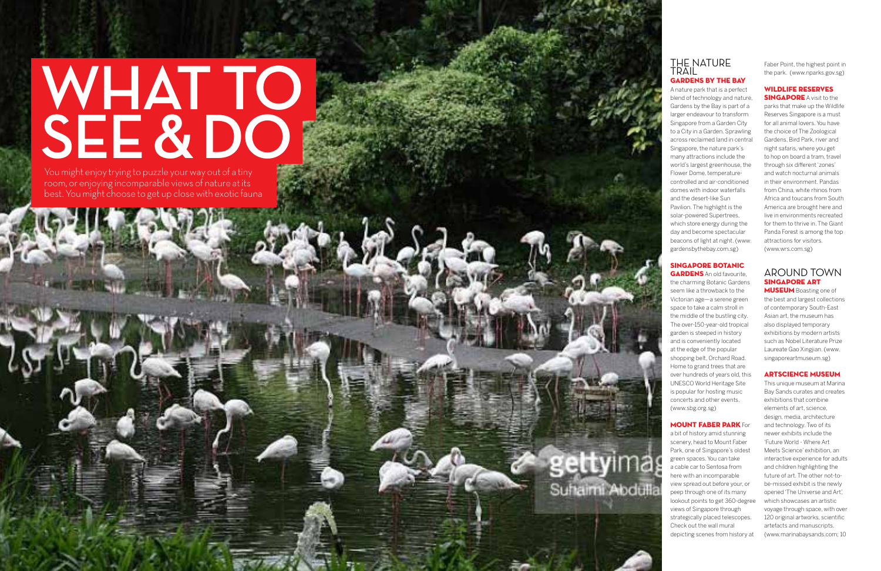# **WHAT TO SEE & D**<br>You might enjoy trying to puzzle your way out of a tiny

room, or enjoying incomparable views of nature at its best. You might choose to get up close with exotic fauna

# THE NATURE TRAIL Gardens by the Bay

A nature park that is a perfect blend of technology and nature, Gardens by the Bay is part of a larger endeavour to transform Singapore from a Garden City to a City in a Garden. Sprawling across reclaimed land in central Singapore, the nature park's many attractions include the world's largest greenhouse, the Flower Dome, temperaturecontrolled and air-conditioned domes with indoor waterfalls and the desert-like Sun Pavilion. The highlight is the solar-powered Supertrees, which store energy during the day and become spectacular beacons of light at night. (www. gardensbythebay.com.sg)

**GARDENS** An old favourite, the charming Botanic Gardens seem like a throwback to the Victorian age—a serene green space to take a calm stroll in the middle of the bustling city. The over-150-year-old tropical garden is steeped in history and is conveniently located at the edge of the popular shopping belt, Orchard Road. Home to grand trees that are over hundreds of years old, this UNESCO World Heritage Site is popular for hosting music concerts and other events. (www.sbg.org.sg)

# Singapore Botanic

**MUSEUM** Boasting one of the best and largest collections of contemporary South-East Asian art, the museum has also displayed temporary exhibitions by modern artists such as Nobel Literature Prize Laureate Gao Xingjian. (www. singaporeartmuseum.sg)

Mount Faber Park For a bit of history amid stunning scenery, head to Mount Faber Park, one of Singapore's oldest green spaces. You can take a cable car to Sentosa from here with an incomparable view spread out before your, or peep through one of its many lookout points to get 360-degree views of Singapore through strategically placed telescopes. Check out the wall mural depicting scenes from history at

Suhaimi Abdulla

Faber Point, the highest point in the park. (www.nparks.gov.sg)

Wildli fe Reserves **SINGAPORE** A visit to the parks that make up the Wildlife Reserves Singapore is a must for all animal lovers. You have the choice of The Zoological Gardens, Bird Park, river and night safaris, where you get to hop on board a tram, travel through six different 'zones' and watch nocturnal animals in their environment. Pandas from China, white rhinos from Africa and toucans from South America are brought here and live in environments recreated for them to thrive in. The Giant Panda Forest is among the top attractions for visitors. (www.wrs.com.sg)

# AROUND TOWN Singapore Art

# Artscience Museu

This unique museum at Marina Bay Sands curates and creates exhibitions that combine elements of art, science, design, media, architecture and technology. Two of its newer exhibits include the 'Future World - Where Art Meets Science' exhibition, an interactive experience for adults and children highlighting the future of art. The other not-tobe-missed exhibit is the newly opened 'The Universe and Art', which showcases an artistic voyage through space, with over 120 original artworks, scientific artefacts and manuscripts. (www.marinabaysands.com; 10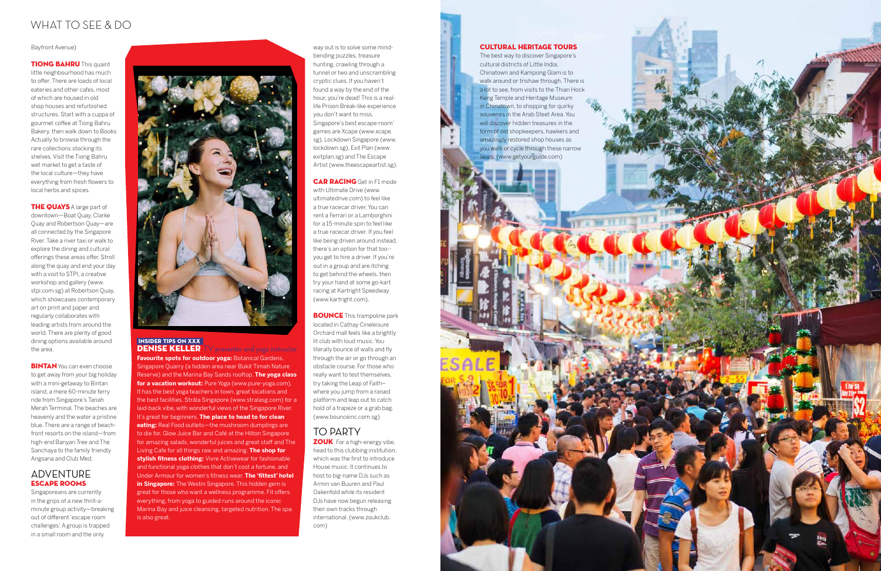# what to SEE & DO

# INSIDER tips on XXX **DENISE KELLER** TV presenter and yoga instructor

**Favourite spots for outdoor yoga: Botanical Gardens,** Singapore Quarry (a hidden area near Bukit Timah Nature Reserve) and the Marina Bay Sands rooftop. **The yoga class for a vacation workout:** Pure Yoga (www.pure-yoga.com). It has the best yoga teachers in town, great locations and the best facilities. Stråla Singapore (www.stralasg.com) for a laid-back vibe, with wonderful views of the Singapore River. It's great for beginners. **The place to head to for clean eating:** Real Food outlets—the mushroom dumplings are to die for. Glow Juice Bar and Café at the Hilton Singapore for amazing salads, wonderful juices and great staff and The Living Cafe for all things raw and amazing. **The shop for stylish fitness clothing:** Vivre Activewear for fashionable and functional yoga clothes that don't cost a fortune, and Under Armour for women's fitness wear. **The 'fittest' hotel in Singapore:** The Westin Singapore. This hidden gem is great for those who want a wellness programme. Fit offers everything, from yoga to guided runs around the iconic Marina Bay and juice cleansing, targeted nutrition. The spa is also great.

**BOUNCE** This trampoline park located in Cathay Cineleisure Orchard mall feels like a brightly lit club with loud music. You literally bounce of walls and fly through the air or go through an obstacle course. For those who really want to test themselves, try taking the Leap of Faith– where you jump from a raised platform and leap out to catch hold of a trapeze or a grab bag. (www.bounceinc.com.sg)

way out is to solve some mindbending puzzles, treasure hunting, crawling through a tunnel or two and unscrambling cryptic clues. If you haven't found a way by the end of the hour, you're dead! This is a reallife Prison Break-like experience you don't want to miss. Singapore's best escape-room' games are Xcape (www.xcape. sg), Lockdown Singapore (www. lockdown.sg), Exit Plan (www. exitplan.sg) and The Escape Artist (www.theescapeartist.sg).

**ZOUK** For a high-energy vibe, head to this clubbing institution, which was the first to introduce House music. It continues to host to big-name DJs such as Armin van Buuren and Paul Oakenfold while its resident DJs have now begun releasing their own tracks through international. (www.zoukclub. com)

### **CAR RACING** Get in F1 mode

**TIONG BAHRU** This quaint little neighbourhood has much to offer. There are loads of local eateries and other cafes, most of which are housed in old shop houses and refurbished structures. Start with a cuppa of gourmet coffee at Tiong Bahru Bakery, then walk down to Books Actually to browse through the rare collections stocking its shelves. Visit the Tiong Bahru wet market to get a taste of the local culture—they have everything from fresh flowers to local herbs and spices.

with Ultimate Drive (www. ultimatedrive.com) to feel like a true racecar driver. You can rent a Ferrari or a Lamborghini for a 15-minute spin to feel like a true racecar driver. If you feel like being driven around instead, there's an option for that too- you get to hire a driver. If you're out in a group and are itching to get behind the wheels, then try your hand at some go-kart racing at Kartright Speedway (www.kartright.com).

**THE QUAYS** A large part of downtown—Boat Quay, Clarke Quay and Robertson Quay—are all connected by the Singapore River. Take a river taxi or walk to explore the dining and cultural offerings these areas offer. Stroll along the quay and end your day with a visit to STPI, a creative workshop and gallery (www. stpi.com.sg) at Robertson Quay, which showcases contemporary art on print and paper and regularly collaborates with leading artists from around the world. There are plenty of good dining options available around the area.

**BINTAN** You can even choose to get away from your big holiday with a mini-getaway to Bintan island, a mere 60-minute ferry ride from Singapore's Tanah Merah Terminal. The beaches are heavenly and the water a pristine blue. There are a range of beachfront resorts on the island—from high-end Banyan Tree and The Sanchaya to the family friendly Angsana and Club Med.

# TO PARTY

### Bayfront Avenue)

# ADVENTURE Escape Rooms

Singaporeans are currently in the grips of a new thrill-aminute group activity—breaking out of different 'escape room challenges'. A group is trapped in a small room and the only



# Cultural Heritage Tours

The best way to discover Singapore's cultural districts of Little India, Chinatown and Kampong Glam is to walk around or trishaw through. There is a lot to see, from visits to the Thian Hock Keng Temple and Heritage Museum in Chinatown, to shopping for quirky souvenirs in the Arab Steet Area. You will discover hidden treasures in the form of old shopkeepers, hawkers and amazingly restored shop houses as you walk or cycle through these narrow lanes. (www.getyourguide.com)